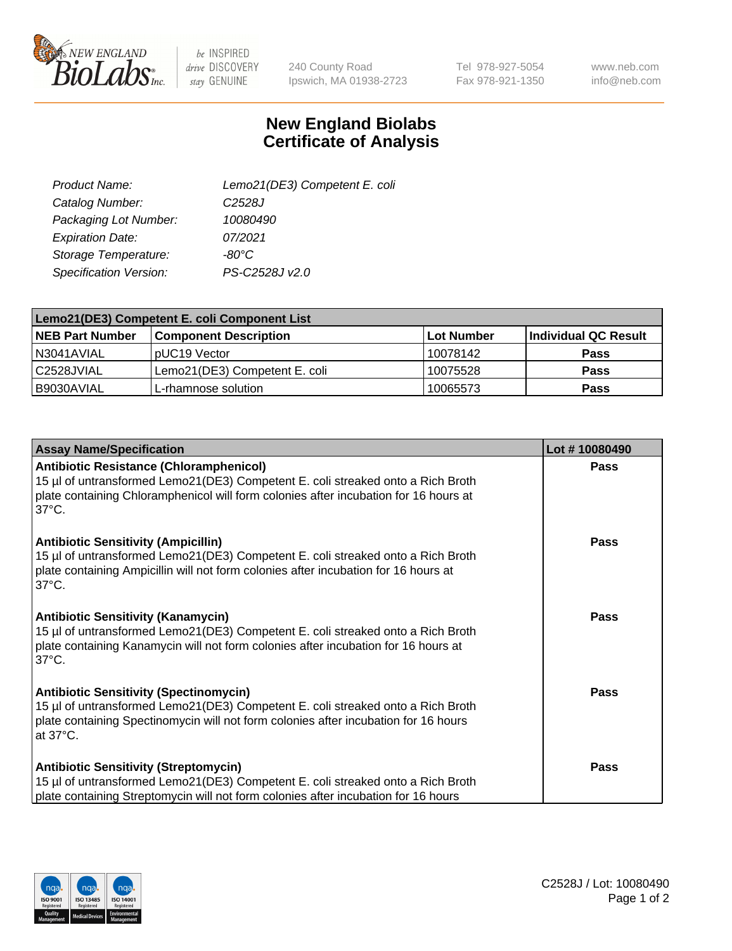

 $be$  INSPIRED drive DISCOVERY stay GENUINE

240 County Road Ipswich, MA 01938-2723 Tel 978-927-5054 Fax 978-921-1350

www.neb.com info@neb.com

## **New England Biolabs Certificate of Analysis**

| Lemo21(DE3) Competent E. coli |
|-------------------------------|
| C <sub>2528</sub> J           |
| 10080490                      |
| 07/2021                       |
| $-80^{\circ}$ C               |
| PS-C2528J v2.0                |
|                               |

| Lemo21(DE3) Competent E. coli Component List |                               |                   |                      |  |
|----------------------------------------------|-------------------------------|-------------------|----------------------|--|
| <b>NEB Part Number</b>                       | <b>Component Description</b>  | <b>Lot Number</b> | Individual QC Result |  |
| I N3041AVIAL                                 | IpUC19 Vector                 | 10078142          | Pass                 |  |
| C2528JVIAL                                   | Lemo21(DE3) Competent E. coli | 10075528          | Pass                 |  |
| B9030AVIAL                                   | L-rhamnose solution           | 10065573          | <b>Pass</b>          |  |

| <b>Assay Name/Specification</b>                                                                                                                                                                                                              | Lot #10080490 |
|----------------------------------------------------------------------------------------------------------------------------------------------------------------------------------------------------------------------------------------------|---------------|
| <b>Antibiotic Resistance (Chloramphenicol)</b><br>15 µl of untransformed Lemo21(DE3) Competent E. coli streaked onto a Rich Broth<br>plate containing Chloramphenicol will form colonies after incubation for 16 hours at<br>$37^{\circ}$ C. | <b>Pass</b>   |
| <b>Antibiotic Sensitivity (Ampicillin)</b><br>15 µl of untransformed Lemo21(DE3) Competent E. coli streaked onto a Rich Broth<br>plate containing Ampicillin will not form colonies after incubation for 16 hours at<br>$37^{\circ}$ C.      | Pass          |
| <b>Antibiotic Sensitivity (Kanamycin)</b><br>15 µl of untransformed Lemo21(DE3) Competent E. coli streaked onto a Rich Broth<br>plate containing Kanamycin will not form colonies after incubation for 16 hours at<br>$37^{\circ}$ C.        | <b>Pass</b>   |
| <b>Antibiotic Sensitivity (Spectinomycin)</b><br>15 µl of untransformed Lemo21(DE3) Competent E. coli streaked onto a Rich Broth<br>plate containing Spectinomycin will not form colonies after incubation for 16 hours<br>at 37°C.          | <b>Pass</b>   |
| <b>Antibiotic Sensitivity (Streptomycin)</b><br>15 µl of untransformed Lemo21(DE3) Competent E. coli streaked onto a Rich Broth<br>plate containing Streptomycin will not form colonies after incubation for 16 hours                        | <b>Pass</b>   |